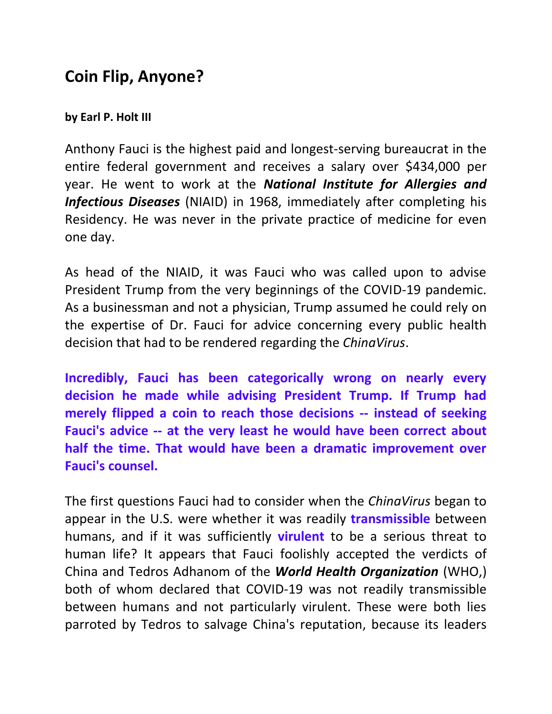## **Coin Flip, Anyone?**

## **by Earl P. Holt III**

Anthony Fauci is the highest paid and longest-serving bureaucrat in the entire federal government and receives a salary over \$434,000 per year. He went to work at the *National Institute for Allergies and Infectious Diseases* (NIAID) in 1968, immediately after completing his Residency. He was never in the private practice of medicine for even one day.

As head of the NIAID, it was Fauci who was called upon to advise President Trump from the very beginnings of the COVID-19 pandemic. As a businessman and not a physician, Trump assumed he could rely on the expertise of Dr. Fauci for advice concerning every public health decision that had to be rendered regarding the *ChinaVirus*.

**Incredibly, Fauci has been categorically wrong on nearly every decision he made while advising President Trump. If Trump had merely flipped a coin to reach those decisions -- instead of seeking Fauci's advice -- at the very least he would have been correct about half the time. That would have been a dramatic improvement over Fauci's counsel.** 

The first questions Fauci had to consider when the *ChinaVirus* began to appear in the U.S. were whether it was readily **transmissible** between humans, and if it was sufficiently **virulent** to be a serious threat to human life? It appears that Fauci foolishly accepted the verdicts of China and Tedros Adhanom of the *World Health Organization* (WHO,) both of whom declared that COVID-19 was not readily transmissible between humans and not particularly virulent. These were both lies parroted by Tedros to salvage China's reputation, because its leaders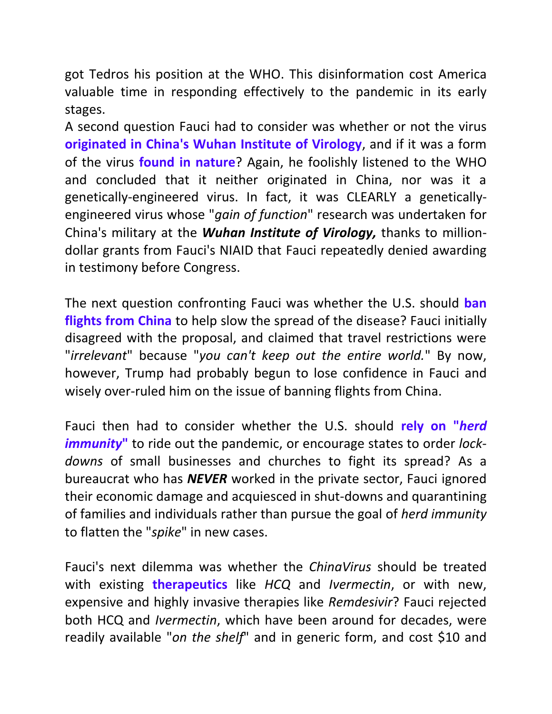got Tedros his position at the WHO. This disinformation cost America valuable time in responding effectively to the pandemic in its early stages.

A second question Fauci had to consider was whether or not the virus **originated in China's Wuhan Institute of Virology**, and if it was a form of the virus **found in nature**? Again, he foolishly listened to the WHO and concluded that it neither originated in China, nor was it a genetically-engineered virus. In fact, it was CLEARLY a geneticallyengineered virus whose "*gain of function*" research was undertaken for China's military at the *Wuhan Institute of Virology,* thanks to milliondollar grants from Fauci's NIAID that Fauci repeatedly denied awarding in testimony before Congress.

The next question confronting Fauci was whether the U.S. should **ban flights from China** to help slow the spread of the disease? Fauci initially disagreed with the proposal, and claimed that travel restrictions were "*irrelevant*" because "*you can't keep out the entire world.*" By now, however, Trump had probably begun to lose confidence in Fauci and wisely over-ruled him on the issue of banning flights from China.

Fauci then had to consider whether the U.S. should **rely on "***herd immunity***"** to ride out the pandemic, or encourage states to order *lockdowns* of small businesses and churches to fight its spread? As a bureaucrat who has *NEVER* worked in the private sector, Fauci ignored their economic damage and acquiesced in shut-downs and quarantining of families and individuals rather than pursue the goal of *herd immunity* to flatten the "*spike*" in new cases.

Fauci's next dilemma was whether the *ChinaVirus* should be treated with existing **therapeutics** like *HCQ* and *Ivermectin*, or with new, expensive and highly invasive therapies like *Remdesivir*? Fauci rejected both HCQ and *Ivermectin*, which have been around for decades, were readily available "*on the shelf*" and in generic form, and cost \$10 and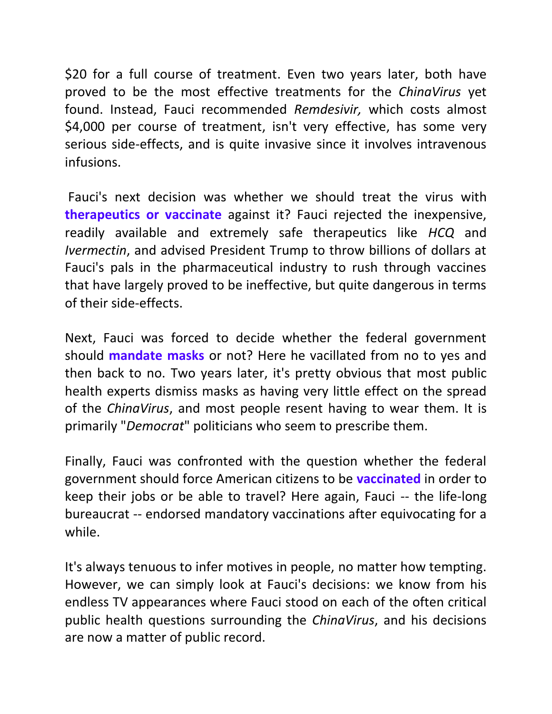\$20 for a full course of treatment. Even two years later, both have proved to be the most effective treatments for the *ChinaVirus* yet found. Instead, Fauci recommended *Remdesivir,* which costs almost \$4,000 per course of treatment, isn't very effective, has some very serious side-effects, and is quite invasive since it involves intravenous infusions.

Fauci's next decision was whether we should treat the virus with **therapeutics or vaccinate** against it? Fauci rejected the inexpensive, readily available and extremely safe therapeutics like *HCQ* and *Ivermectin*, and advised President Trump to throw billions of dollars at Fauci's pals in the pharmaceutical industry to rush through vaccines that have largely proved to be ineffective, but quite dangerous in terms of their side-effects.

Next, Fauci was forced to decide whether the federal government should **mandate masks** or not? Here he vacillated from no to yes and then back to no. Two years later, it's pretty obvious that most public health experts dismiss masks as having very little effect on the spread of the *ChinaVirus*, and most people resent having to wear them. It is primarily "*Democrat*" politicians who seem to prescribe them.

Finally, Fauci was confronted with the question whether the federal government should force American citizens to be **vaccinated** in order to keep their jobs or be able to travel? Here again, Fauci -- the life-long bureaucrat -- endorsed mandatory vaccinations after equivocating for a while.

It's always tenuous to infer motives in people, no matter how tempting. However, we can simply look at Fauci's decisions: we know from his endless TV appearances where Fauci stood on each of the often critical public health questions surrounding the *ChinaVirus*, and his decisions are now a matter of public record.